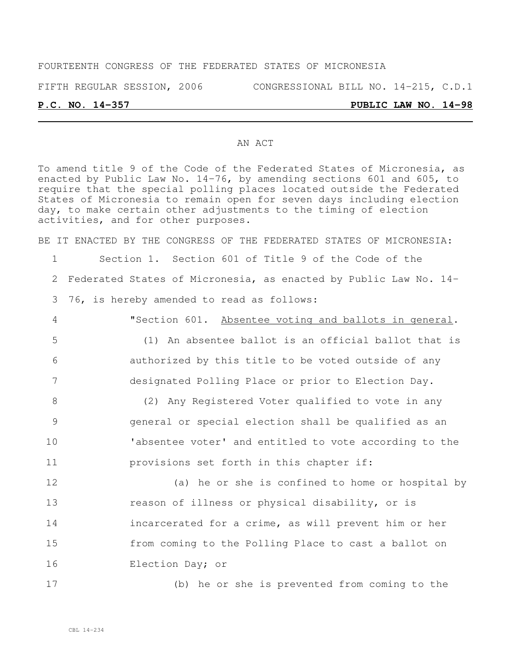## FOURTEENTH CONGRESS OF THE FEDERATED STATES OF MICRONESIA

FIFTH REGULAR SESSION, 2006 CONGRESSIONAL BILL NO. 14-215, C.D.1

#### **P.C. NO. 14-357 PUBLIC LAW NO. 14-98**

#### AN ACT

To amend title 9 of the Code of the Federated States of Micronesia, as enacted by Public Law No. 14-76, by amending sections 601 and 605, to require that the special polling places located outside the Federated States of Micronesia to remain open for seven days including election day, to make certain other adjustments to the timing of election activities, and for other purposes.

BE IT ENACTED BY THE CONGRESS OF THE FEDERATED STATES OF MICRONESIA:

1 Section 1. Section 601 of Title 9 of the Code of the 2 Federated States of Micronesia, as enacted by Public Law No. 14- 3 76, is hereby amended to read as follows:

 "Section 601. Absentee voting and ballots in general. (1) An absentee ballot is an official ballot that is authorized by this title to be voted outside of any designated Polling Place or prior to Election Day.

 (2) Any Registered Voter qualified to vote in any general or special election shall be qualified as an 'absentee voter' and entitled to vote according to the provisions set forth in this chapter if:

 (a) he or she is confined to home or hospital by **reason of illness or physical disability, or is**  incarcerated for a crime, as will prevent him or her from coming to the Polling Place to cast a ballot on Election Day; or

17 (b) he or she is prevented from coming to the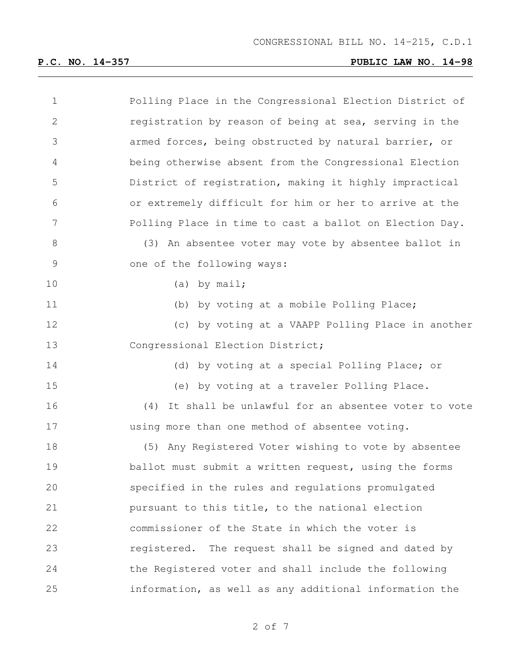| $\mathbf 1$     | Polling Place in the Congressional Election District of |
|-----------------|---------------------------------------------------------|
| $\mathbf{2}$    | registration by reason of being at sea, serving in the  |
| 3               | armed forces, being obstructed by natural barrier, or   |
| $\overline{4}$  | being otherwise absent from the Congressional Election  |
| 5               | District of registration, making it highly impractical  |
| 6               | or extremely difficult for him or her to arrive at the  |
| $7\phantom{.0}$ | Polling Place in time to cast a ballot on Election Day. |
| $8\,$           | (3) An absentee voter may vote by absentee ballot in    |
| $\mathsf 9$     | one of the following ways:                              |
| 10              | $(a)$ by mail;                                          |
| 11              | (b) by voting at a mobile Polling Place;                |
| 12              | (c) by voting at a VAAPP Polling Place in another       |
| 13              | Congressional Election District;                        |
| 14              | (d) by voting at a special Polling Place; or            |
| 15              | (e) by voting at a traveler Polling Place.              |
| 16              | (4) It shall be unlawful for an absentee voter to vote  |
| 17              | using more than one method of absentee voting.          |
| 18              | (5) Any Registered Voter wishing to vote by absentee    |
| 19              | ballot must submit a written request, using the forms   |
| 20              | specified in the rules and regulations promulgated      |
| 21              | pursuant to this title, to the national election        |
| 22              | commissioner of the State in which the voter is         |
| 23              | registered. The request shall be signed and dated by    |
| 24              | the Registered voter and shall include the following    |
| 25              | information, as well as any additional information the  |
|                 |                                                         |

of 7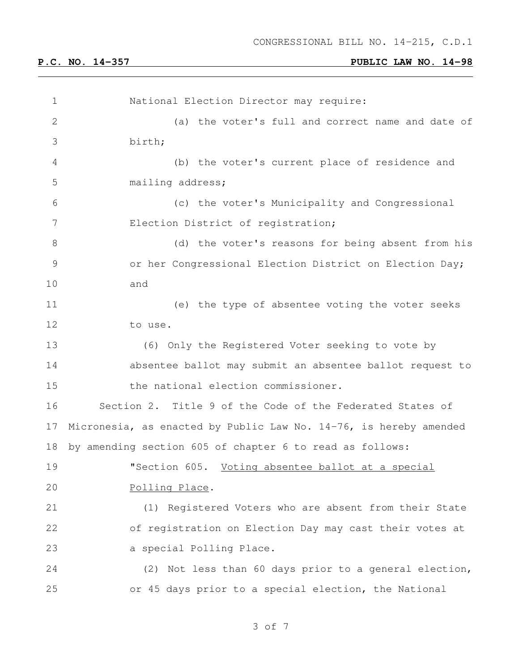| $\mathbf 1$   | National Election Director may require:                              |  |  |  |  |  |  |
|---------------|----------------------------------------------------------------------|--|--|--|--|--|--|
| $\mathbf{2}$  | (a) the voter's full and correct name and date of                    |  |  |  |  |  |  |
| 3             | birth;                                                               |  |  |  |  |  |  |
| 4             | (b) the voter's current place of residence and                       |  |  |  |  |  |  |
| 5             | mailing address;                                                     |  |  |  |  |  |  |
| 6             | (c) the voter's Municipality and Congressional                       |  |  |  |  |  |  |
| 7             | Election District of registration;                                   |  |  |  |  |  |  |
| 8             | (d) the voter's reasons for being absent from his                    |  |  |  |  |  |  |
| $\mathcal{G}$ | or her Congressional Election District on Election Day;              |  |  |  |  |  |  |
| 10            | and                                                                  |  |  |  |  |  |  |
| 11            | (e) the type of absentee voting the voter seeks                      |  |  |  |  |  |  |
| 12            | to use.                                                              |  |  |  |  |  |  |
| 13            | (6) Only the Registered Voter seeking to vote by                     |  |  |  |  |  |  |
| 14            | absentee ballot may submit an absentee ballot request to             |  |  |  |  |  |  |
| 15            | the national election commissioner.                                  |  |  |  |  |  |  |
| 16            | Section 2. Title 9 of the Code of the Federated States of            |  |  |  |  |  |  |
| 17            | Micronesia, as enacted by Public Law No. $14-76$ , is hereby amended |  |  |  |  |  |  |
| 18            | by amending section 605 of chapter 6 to read as follows:             |  |  |  |  |  |  |
| 19            | "Section 605. Voting absentee ballot at a special                    |  |  |  |  |  |  |
| 20            | Polling Place.                                                       |  |  |  |  |  |  |
| 21            | (1) Registered Voters who are absent from their State                |  |  |  |  |  |  |
| 22            | of registration on Election Day may cast their votes at              |  |  |  |  |  |  |
| 23            | a special Polling Place.                                             |  |  |  |  |  |  |
| 24            | (2) Not less than 60 days prior to a general election,               |  |  |  |  |  |  |
| 25            | or 45 days prior to a special election, the National                 |  |  |  |  |  |  |
|               |                                                                      |  |  |  |  |  |  |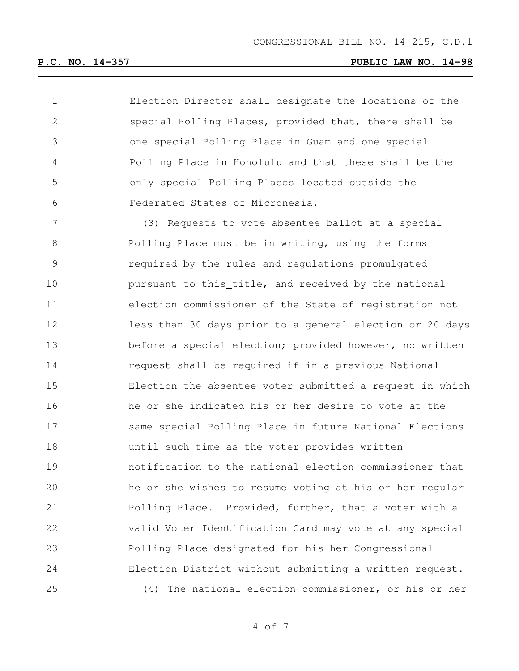Election Director shall designate the locations of the special Polling Places, provided that, there shall be one special Polling Place in Guam and one special Polling Place in Honolulu and that these shall be the only special Polling Places located outside the Federated States of Micronesia.

 (3) Requests to vote absentee ballot at a special Polling Place must be in writing, using the forms required by the rules and regulations promulgated **pursuant to this\_title, and received by the national**  election commissioner of the State of registration not less than 30 days prior to a general election or 20 days 13 before a special election; provided however, no written request shall be required if in a previous National Election the absentee voter submitted a request in which he or she indicated his or her desire to vote at the same special Polling Place in future National Elections until such time as the voter provides written notification to the national election commissioner that he or she wishes to resume voting at his or her regular Polling Place. Provided, further, that a voter with a valid Voter Identification Card may vote at any special Polling Place designated for his her Congressional Election District without submitting a written request. (4) The national election commissioner, or his or her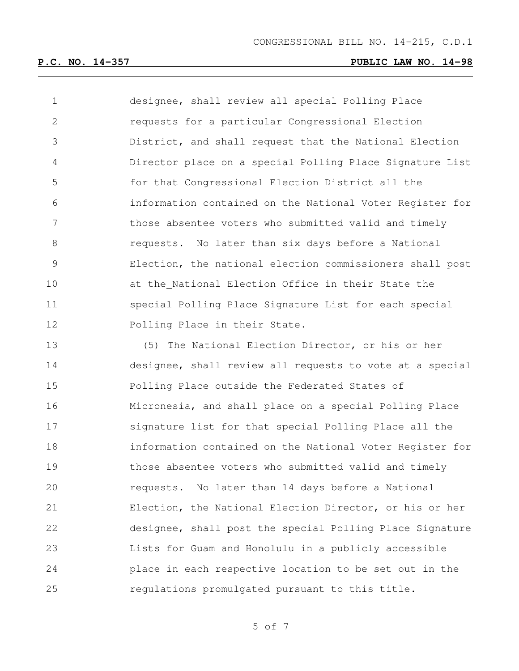designee, shall review all special Polling Place requests for a particular Congressional Election District, and shall request that the National Election Director place on a special Polling Place Signature List for that Congressional Election District all the information contained on the National Voter Register for 7 those absentee voters who submitted valid and timely requests. No later than six days before a National Election, the national election commissioners shall post at the National Election Office in their State the special Polling Place Signature List for each special Polling Place in their State.

 (5) The National Election Director, or his or her designee, shall review all requests to vote at a special Polling Place outside the Federated States of Micronesia, and shall place on a special Polling Place signature list for that special Polling Place all the information contained on the National Voter Register for those absentee voters who submitted valid and timely requests. No later than 14 days before a National Election, the National Election Director, or his or her designee, shall post the special Polling Place Signature Lists for Guam and Honolulu in a publicly accessible place in each respective location to be set out in the regulations promulgated pursuant to this title.

of 7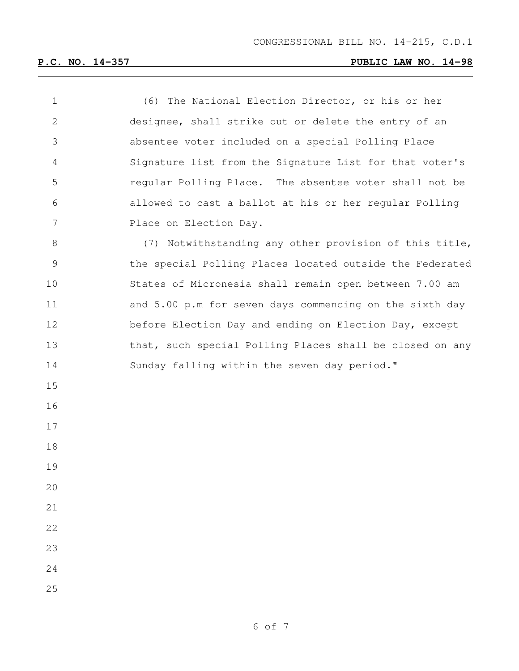(6) The National Election Director, or his or her designee, shall strike out or delete the entry of an absentee voter included on a special Polling Place Signature list from the Signature List for that voter's regular Polling Place. The absentee voter shall not be allowed to cast a ballot at his or her regular Polling 7 Place on Election Day. 8 (7) Notwithstanding any other provision of this title, the special Polling Places located outside the Federated States of Micronesia shall remain open between 7.00 am and 5.00 p.m for seven days commencing on the sixth day before Election Day and ending on Election Day, except that, such special Polling Places shall be closed on any Sunday falling within the seven day period."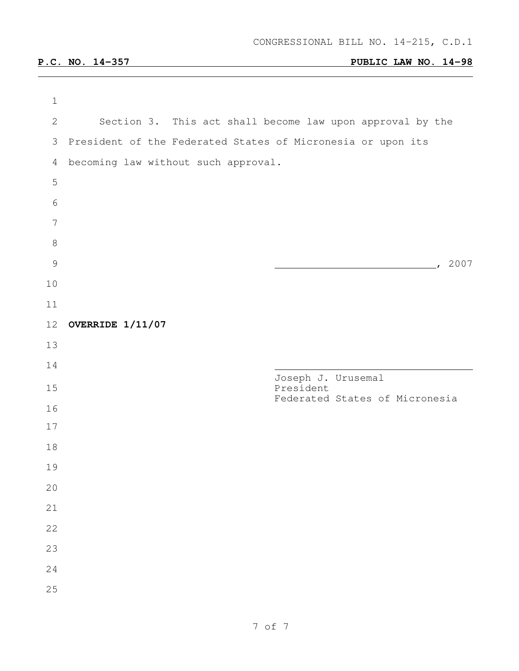| $\mathbf{2}$                        |           |                    |                                                                                                                                                            |
|-------------------------------------|-----------|--------------------|------------------------------------------------------------------------------------------------------------------------------------------------------------|
| 3                                   |           |                    |                                                                                                                                                            |
| becoming law without such approval. |           |                    |                                                                                                                                                            |
|                                     |           |                    |                                                                                                                                                            |
|                                     |           |                    |                                                                                                                                                            |
|                                     |           |                    |                                                                                                                                                            |
|                                     |           |                    |                                                                                                                                                            |
|                                     |           |                    | 2007                                                                                                                                                       |
|                                     |           |                    |                                                                                                                                                            |
|                                     |           |                    |                                                                                                                                                            |
| 12<br>OVERRIDE 1/11/07              |           |                    |                                                                                                                                                            |
|                                     |           |                    |                                                                                                                                                            |
|                                     |           |                    |                                                                                                                                                            |
|                                     |           |                    |                                                                                                                                                            |
|                                     |           |                    |                                                                                                                                                            |
|                                     |           |                    |                                                                                                                                                            |
|                                     |           |                    |                                                                                                                                                            |
|                                     |           |                    |                                                                                                                                                            |
|                                     |           |                    |                                                                                                                                                            |
|                                     |           |                    |                                                                                                                                                            |
|                                     |           |                    |                                                                                                                                                            |
|                                     |           |                    |                                                                                                                                                            |
|                                     |           |                    |                                                                                                                                                            |
|                                     | President | Joseph J. Urusemal | Section 3. This act shall become law upon approval by the<br>President of the Federated States of Micronesia or upon its<br>Federated States of Micronesia |